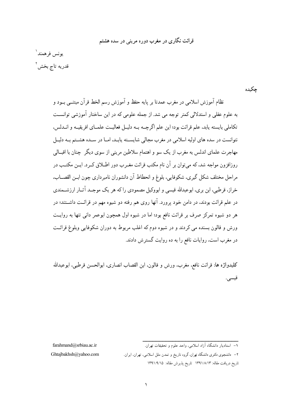## قرائت نگاری در مغرب دوره مرینے در سده هشتم

يونس فرهمندا قدريه تاج بخش ١

حكىدە

نظام آموزش اسلامی در مغرب عمدتا بر پایه حفظ و آموزش رسم الخط قرآن مبتنــی بــود و به علوم عقلی و استدلالی کمتر توجه می شد. از جمله علومی که در این ساختار آموزشی توانســت تكاملي بايسته يابد، علم قرائت بود؛ اين علم اگر چــه بــه دليــل فعاليــت علمــاي افريقيــه و انــدلس، .<br>نتوانست در سده های اولیه اسلامی در مغرب مجالی شایســته پابــد، امــا در ســده هشــتم بــه دلیــل مهاجرت علماي اندلس به مغرب از يک سو و اهتمام سلاطين مريني از سوي ديگر چنان با اقبــالي روزافزون مواجه شد، که می توان بر آن نام مکتب قرائت مغیرب دور اطبلاق کیر د. ایین مکتب در مراحل مختلف شكل گيري، شكوفايي، بلوغ و انحطاط آن دانشوران نامبرداري چون ابـن القصــاب، خراز، قرطبی، ابن بری، ابوعبدالله قیسی و ابووکیل مصمودی راکه هر یک موجـد آثــار ارزشــمندی در علم قرائت بودند، در دامن خود پرورد. آنها روی هم رفته دو شیوه مهم در قرائـت داشــتند؛ در هر دو شیوه تمرکز صرف بر قرائت نافع بود؛ اما در شیوه اول همچون ابوعمر دانی تنها به روایـت ورش و قالون بسنده می کردند و در شیوه دوم که اغلب مربوط به دوران شکوفایی وبلوغ قرائـت در مغرب است، روایات نافع را به ده روایت گستر ش دادند.

كليدواژه ها: قرائت نافع، مغرب، ورش و قالون، ابن القصاب انصاري، ابوالحسن قرطبي، ابوعبدالله قيسى.

farahmand@srbiau.ac.ir

۲– دانشجوی دکتری دانشگاه تهران، گروه تاریخ و تمدن ملل اسلامی، تهران، ایران.

تاريخ دريافت مقاله: ١٣٩١/٨/١٣ تاريخ يذيرش مقاله: ١٣٩١/٩/١٥

Ghtajbakhsh@yahoo.com

<sup>.&</sup>lt;br>١– استادیار دانشگاه آزاد اسلامی، واحد علوم و تحقیقات تهران.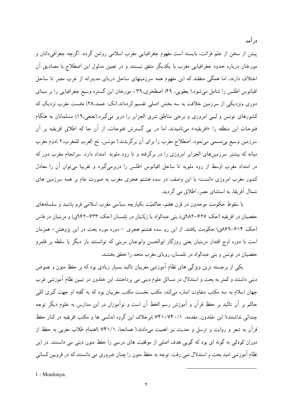پیش از سخن از علم قرائت، بایسته است مفهوم جغرافیایی مغرب اسلامی روشن گردد. اگرچه جغرافی،دانان و مورخان درباره حدود جغرافیایی مغرب با یکدیگر متفق نیستند و در تعیین مدلول این اصطلاح با مصادیق آن اختلاف دارند، اما همگی متفقند که این مفهوم همه سرزمینهای ساحل دریای مدیترانه از غرب مصر تا ساحل اقيانوس اطلس را شامل مي شود.( يعقوبي، ۴۹؛ اصطخري،۳۹). مورخان اين گستره وسيع جغرافيايي را بر مبناي دوری ونزدیکی از سرزمین خلافت به سه بخش اصلی تقسیم کردهاند.(نک: عمید.۲۸) نخست مغرب نزدیک که کشورهای تونس و لیبی امروزی و برخی مناطق شرق الجزایر را دربر میگیرد.(نعنعی،۱۹) مسلمانان به هنگام فتوحات اين منطقه را «افريقيه» ميiاميدند، اما در يي گسترش فتوحات، از آن جا كه اطلاق افريقيه بر آن سرزمین وسیع بی مسمی می نمود، اصطلاح مغرب را برای آن برگزیدند.( مونس، تح العرب للمغرب،۲ )دوم مغرب میانه که بیشتر سرزمینهای الجزایر امروزی را در برگرفته و تا رود ملویه امتداد دارد. سرانجام مغرب دور که در امتداد مغرب اوسط از رود ملويه تا ساحل اقيانوس اطلس را دربرمي گيرد و تقريبا مي توان آن را معادل کشور مغرب امروزی دانست؛ با این وصف، در سده هشتم هجری مغرب به صورت عام بر همه سرزمین های شمال آفریقا، به استثنای مصر، اطلاق می گردید.

در آمد

با سقوط حکومت موحدون در قرن هفتم. حاکمیّت یکپارچه سیاسی مغرب اسلامی فرو پاشید و سلسلههای حفصیان در افریقیه (حک: ۶۲۷–۹۸۲ق)، بنی عبدالواد یا زیّانیان در تِلِمسان (حک: ۶۳۳–۹۶۲ق) و مرینیان در فاس (حک: ۶۱۴–۸۶۹ق) حکومت یافتند. از این رو سده هشتم هجری – دوره مورد بحث در این پژوهش– همزمان است با دوره اوج اقتدار مرینیان یعنی روزگار ابوالحسن وابوعنان مرینی که توانستند بار دیگر با سلطه بر قلمرو حفصیان در تونس و بنی عبدالواد در تلمسان، رویای مغرب متحد را تحقق بخشند.

یکی از برجسته ترین ویژگی های نظام آموزشی مغربیان تاکید بسیار زیادی بود که بر حفظ متون و نصوص دینی داشتند و کمتر به بحث و استدلال در مسائل علوم دینی می پرداختند. ابن خلدون در تبیین نظام آموزشی غرب جهان اسلام به سه مکتب متفاوت اشاره میکند: مکتب نخست مکتب مغربیان بود که به گفته او جهت گیری کلی حاکم بر آن تاکید بر حفظ قرآن و آموزش رسم الخط آن است و نوآموزان در این مدارس به علوم دیگر توجه چندانی نداشتند؛( ابن خلدون، مقدمه، ٧۴٠/١-٧۴١)برخلاف این گروه اندلسی ها و مکتب افریقیه در کنار حفظ قرآن به شعر و روایت و ترسل و حدیث نیز اهمیت می(دادند.( همانجا، ۷۴۱/۱ )اهتمام طلاب مغربی به حفظ از دوران کودکی به گونه ای بود که گویی هدف اصلی از موفقیت های درسی را حفظ متون دینی می دانستند. در این نظام آموزشی امید بحث و استدلال نمی رفت. توجه به حفظ متون را چنان ضروری می دانستند که در قرویین کسانی

1 - Moulouva.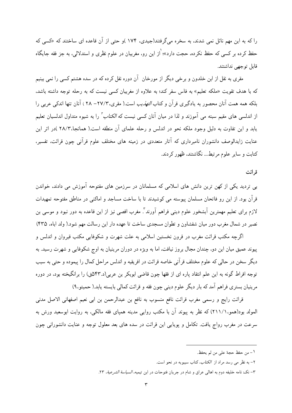را که به این مهم نائل نمی شدند، به سخره می گرفتند(جیدی، ۱۷۴ )و حتی از آن قاعده ای ساختند که «کسی که حفظ کرده بر کسی که حفظ نکرده، حجت دارد»؛ <sup>(</sup>از این رو، مغربیان در علوم نظری و استدلالی، به جز فقه جایگاه قابل توجهي نداشتند.

مقری به نقل از ابن خلدون و برخی دیگر از مورخان آن دوره نقل کرده که در سده هشتم کسی را نمی بینیم که با هدف تقویت «ملکه تعلیم» به فاس سفر کند؛ به علاوه از مغربیان کسی نیست که به رحله توجه داشته باشد. بلکه همه همت آنان محصور به یادگیری قرآن و کتاب *التهذیب* است.( مقری،۲۷/۳– ۲۸ ) آنان تنها اندکی عربی را از اندلسی های مقیم سبته می آموزند و لذا در میان آنان کسی نیست که *الکتاب تر*ا به شیوه متداول اندلسیان تعلیم یابد و این تفاوت به دلیل وجود ملکه نحو در اندلس و رحله علمای آن منطقه است.( همانجا،۲۸/۲ )در اثر این عنایت زایدالوصف دانشوران نامبرداری که آثار متعددی در زمینه های مختلف علوم قرآنی چون قرائت، تفسیر، کتابت و سایر علوم مرتبط... نگاشتند، ظهور کردند.

قر ائت

بے تردید یکی از کھن ترین دانش های اسلامی که مسلمانان در سرزمین های مفتوحه آموزش می دادند، خواندن قرآن بود. از این رو فاتحان مسلمان پیوسته می کوشیدند تا با ساخت مساجد و اماکنی در مناطق مفتوحه تمهیدات لازم برای تعلیم مهمترین آبشخور علوم دینی فراهم آورند ؓ. مغرب اقصی نیز از این قاعده به دور نبود و موسی بن نصیر در شمال مغرب دور میان شفشاون و تطوان مسجدی ساخت تا عهده دار این رسالت مهم شود.( ولد اباه، ۴۳۵)

اگرچه مکتب قرائت مغرب در قرون نخستین اسلامی به علت شهرت و شکوفایی مکتب قیروان و اندلس و پیوند عمیق میان این دو، چندان مجال بروز نیافت، اما به ویژه در دوران مرینیان به اوج شکوفایی و شهرت رسید. به ديگر سخن در حالي كه علوم مختلف قرآني خاصه قرائت در افريقيه و اندلس مراحل كمال را پيموده و حتى به سبب توجه افراط گونه به این علم انتقاد یاره ای از فقها چون قاضی ابوبکر بن عربی(د.۵۴۳ق) را برانگیخته بود، در دوره مرینیان بستری فراهم آمد که بار دیگر علوم دینی چون فقه و قرائت کمالی بایسته یابد.( حمیتو.۹)

قرائت رايج و رسمي مغرب قرائت نافع منسوب به نافع بن عبدالرحمن بن ابي نعيم اصفهاني الاصل مدني المولد بود(همو،١١١/١) که نظر به پیوند آن با مکتب روایی مدینه همپای فقه مالکی، به روایت ابوسعید ورش به سرعت در مغرب رواج یافت. تکامل و پویایی این قرائت در سده های بعد معلول توجه و عنایت دانشورانی چون

٢- به نظر مي رسد مراد از الكتاب، كتاب سيبويه در نحو است.

١- من حفظ حجة على من لم يحفظ.

٣– نكــ: نامه خليفه دوم به اهالي عراق و شام در جريان فتوحات در ابن تيميه، *السياسة الشرعية*، ٢٣.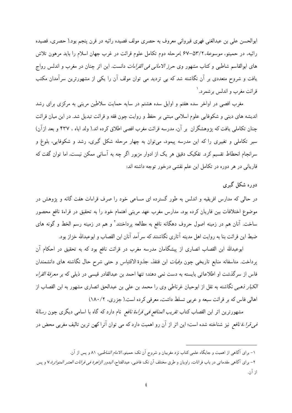ابوالحسن على بن عبدالغني فهري قيرواني معروف به حصري مولف قصيده رائيه در قرن ينجم بود.( حصري، قصيده رائیه، در حمیتو، *موسوعهٔ،*۲/۲–۶۷ )مرحله دوم تکامل علوم قرائت در غرب جهان اسلام را باید مرهون تلاش های ابوالقاسم شاطبی و کتاب مشهور وی *حرز الامانی فی القراءات* دانست. این اثر چنان در مغرب و اندلس رواج یافت و شروح متعددی بر آن نگاشته شد که بی تردید می توان مولف آن را یکی از مشهورترین سرآمدان مکتب قرائت مغرب و اندلس بر شمر د. `

مغرب اقصی در اواخر سده هفتم و اوایل سده هشتم در سایه حمایت سلاطین مرینی به مرکزی برای رشد اندیشه های دینی و شکوفایی علوم اسلامی مبتنی بر حفظ و روایت چون فقه و قرائت تبدیل شد. در این میان قرائت چنان تکاملی یافت که پژوهشگران بر آن، مدرسه قرائت مغرب اقصی اطلاق کرده اند.( ولد اباه ، ۴۳۷ و بعد ازآن) سیر تکاملی و تغییری را که این مدرسه پیمود، می توان به چهار مرحله شکل گیری، رشد و شکوفایی، بلوغ و سرانجام انحطاط تقسیم کرد. تفکیک دقیق هر یک از ادوار مزبور اگر چه به آسانی ممکن نیست، اما توان گفت که قاریانی در هر دوره در تکامل این علم نقشی درخور توجه داشته اند:

دوره شکل گیری

در حالی که مدارس افریقیه و اندلس به طور گسترده ای مساعی خود را صرف قراءات هفت گانه و پژوهش در موضوع اختلافات بین قاریان کرده بود، مدارس مغرب عهد مرینی اهتمام خود را به تحقیق در قراءهٔ نافع محصور ساخت. آنان هم در زمینه اصول حروف دهگانه نافع به مطالعه پرداختند<sup>۲</sup> و هم در زمینه رسم الخط و گونه های ضبط این قرائت بنا به روایت اهل مدینه آثاری نگاشتند که سرآمد آنان ابن القصاب و ابوعبدالله خزاز بود.

ابوعبدالله ابن القصاب انصاری از پیشگامان مدرسه مغرب در قرائت نافع بود که به تحقیق در احکام آن يرداخت. متاسفانه منابع تاريخي چون *وفيات* ابن قنفذ، جذوة الاقتباس و حتى شرح حال نگاشته هاى دانشمندان فاس از سرگذشت او اطلاعاتی بایسته به دست نمی دهند؛ تنها احمد بن عبدالقادر قیسی در ذیلی که بر *معرفة القراء* الكبار نهمبي نگاشته به نقل از ابوحيان غرناطي وي را محمد بن علي بن عبدالحق انصاري مشهور به ابن القصاب از اهالي فاس كه بر قرائت سبعه و عربي تسلط داشت، معرفي كرده است.( جزري، ١٨٠/٢)

مشهورترین اثر ابن القصاب کتاب *تقریب المنافع فی قراءة نافع* نام دارد که گاه با اسامی دیگری چون *رسالة فی قراءة نافع* نیز شناخته شده است؛ این اثر از آن رو اهمیت دارد که می توان آنرا کهن ترین تالیف مغربی محض در

۱– برای آگاهی از اهمیت و جایگاه علمی کتاب نزد مغربیان و شروح آن نکـ: حمیتو، *الامام الشاطبی*، ۸۱ و پس از آن.

۲– برای آگاهی مقدماتی در باب قرائات. راویان و طرق مختلف آن نکــ: قاضی، عبدالفتا*ح. البدور الزاهرهٔ فـی قرائات العشر المتواترهٔ*.۷ و پس از آن.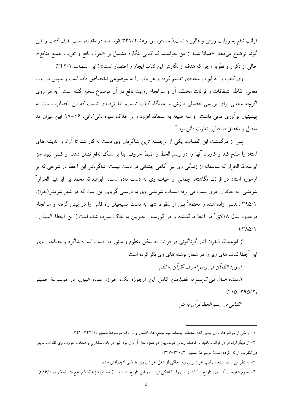قرائت نافع به روایت ورش و قالون دانست.( حمیتو، *موسوعهٔ، ۱*٬۲۴۱/۲ )نویسنده در مقدمه، سبب تالیف کتاب را این گونه توضیح میدهد: «همانا شما از من خواستید که کتابی بنگارم مشتمل بر «حرف نافع و تقریب جمیع منافع». خالي از تكرار و تطويل؛ چراكه هدف از نگارش اين كتاب ايجاز و اختصار است».( ابن القصاب، ٣٤٢/٢)

وی کتاب را به ابواب متعددی تقسیم کرده و هر باب را به موضوعی اختصاص داده است و سپس در باب معانی، الفاظ، اشتقاقات و قرائات مختلف آن و سرانجام روایت نافع در آن موضوع سخن گفته است.` به هر روی اگرچه مجالی برای بررسی تفصیلی ارزش و جایگاه کتاب نیست، اما تردیدی نیست که ابن القصاب نسبت به پیشینیان نوآوری هایی داشت: او سه صیغه به استعاذه افزود و بر خلاف شیوه دانی(دانی، ۱۶–۱۷)بین میزان مد متصل و منفصل در قالون تفاوت قائل بود. آ

پس از درگذشت ابن القصاب، یکی از برجسته ترین شاگردان وی دست به کار شد تا آراء و اندیشه های استاد را منقح کند و کاربرد آنها را در رسم الخط و ضبط حروف، بنا بر سبک نافع نشان دهد. او کسی نبود جز ابوعبدالله الخراز که متاسفانه از زندگی وی نیز آگاهی چندانی در دست نیست؛ شاگردش ابن آجطا در شرحی که بر ارجوزه استاد در قرائت نگاشته، اجمالی از حیات وی به دست داده است. ابوعبدالله محمد بن ابراهیم الخراز " شریشی به خاندان اموی نسب می برد؛ انتساب شریشی وی به درستی گویای این است که در شهر شریش(خراز، ۳۹۵/۲ )اندلس زاده شده و محتملاً پس از سقوط شهر به دست مسیحیان راه فاس را در پیش گرفته و سرانجام درحدود سال ۷۱۸ق<sup>۶</sup> در آنجا درگذشته و در گورستان جیزیین به خاک سیرده شده است.( ابن آجطا، *التبیان* ،  $(\Upsilon\Lambda\Delta/\Upsilon)$ 

از ابوعبدالله الخراز آثار گوناگونی در قرائت به شکل منظوم و منثور در دست است؛ شاگرد و مصاحب وی، ابن آجطا کتاب های زیر را در شمار نوشته های وی ذکر کرده است:

١.مورد الظمآن في رسم احرف القرآن به نظم

۲.*عمدة البيان في الرسم به نظم(*متن كامل اين ارجوزه نك: خراز، *عمده البيان،* در موسوعة حمي*تو*  $(\mathfrak{F} \setminus \Delta - \mathfrak{F} \setminus \Delta / \mathfrak{F})$ 

۴.کتابے در رسم الخط قرآن به نثر

۱– برخی از موضوعات آن چنین اند: استعاذه، بسمله، میم جمع، هاء اضمار و … نک: موسوعهٔ حمیتو ،۳۴۲/۲-۳۴۴.

٣- به نظر مي رسد استعمال لقب خراز براي وي حاكي از شغل خرازي وي يا يكي ازيدرانش باشد.

۴– عموم شارحان آثار وی تاریخ درگذشت وی را با اندکی تردید در این تاریخ دانسته اند( حمیتو، *قراءۂ الامام نافع عند المغاربه*، ۳/۴۸۶).

۲– از دیگر آراء او در قرائت تاکید بر فاصله زمانی کوتاه بین دو همزه مثل أ أنزل بود؛ نیز در باب مخارج و صفات حروف وی نظرات بدیعی در التقريب ارائه كرده است( موسوعة حميتو ،٣۴۶/٢-٣۴٧).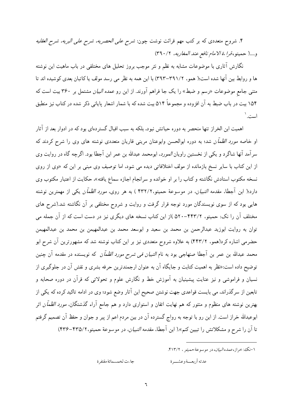۴. شروح متعددی که بر کتب مهم قرائت نوشت چون: *شرح علی الحصریه، شرح علی البریه، شرح العقلیه* و....( حميتو،قراءة الامام نافع عند المغاربه، ٣٩٠/٢)

نگارش آثاری با موضوعات مشابه به نظم و نثر موجب بروز تحلیل های مختلفی در باب ماهیت این نوشته ها و روابط بین آنها شده است؛( همو، ۲۹۱/۲–۳۹۳) با این همه به نظر می رسد مولف یا کاتبان بعدی کوشیده اند تا متنی جامع موضوعات «رسم و ضبط» را یک جا فراهم آورند. از این رو *عمده البیان* مشتمل بر ۳۶۰ بیت است که ۱۵۴ بیت در باب ضبط به آن افزوده و مجموعاً ۵۱۴ بیت شده که با شمار اشعار پایانی ذکر شده در کتاب نیز منطبق است.`

اهمیت این الخراز تنها منحصر به دوره حیاتش نبود، بلکه به سبب اقبال گستر دهای بود که در ادوار بعد از آثار او خاصه *مورد الظمآن* شد؛ به دوره ابوالحسن وابوعنان مرینی قاریان متعددی نوشته های وی را شرح کردند که سرآمد آنها شاگرد و یکی از نخستین راویان *المورد*، ابومحمد عبدالله بن عمر ابن آجطا بود. اگرچه گاه در روایت وی از این کتاب با سایر نسخ بازمانده از مولف اختلافاتی دیده می شود، اما توصیف وی مبنی بر این که «وی از روی نسخه مکتوب استادش نگاشته و کتاب را بر او خوانده و سرانجام اجازه سماع یافته». حکایت از اعتبار مکتوب وی دارد؛( ابن آجطا، مقدمه *التبیان*، در موسوعة حمیتو،۴۳۲/۲ ) به هر روی*، مورد الظمآن* یکی از مهمترین نوشته هایی بود که از سوی نویسندگان مورد توجه قرار گرفت و روایت و شروح مختلفی بر آن نگاشته شد.(شرح های مختلف آن را نک: حمیتو، ۴۴۳/۲–۵۲۰ )از این کتاب نسخه های دیگری نیز در دست است که از آن جمله می توان به روايت ابوزيد عبدالرحمن بن محمد بن سعيد و ابوسعد محمد بن عبدالمهيمن بن محمد بن عبدالمهيمن حضرمی اشاره کرد(همو، ۴۴۳/۲) به علاوه شروح متعددی نیز بر این کتاب نوشته شد که مشهورترین آن شرح ابو محمد عبدالله بن عمر بن آجطا صنهاجي بود به نام *التبيان في شرح مورد الظمآن* كه نويسنده در مقدمه آن چنين توضیح داده است:«نظر به اهمیت کتابت و جایگاه آن به عنوان ارجمندترین حرفه بشری و نقش آن در جلوگیری از نسیان و فراموشی و نیز عنایت پیشینیان به آموزش خط و نگارش علوم و تحولاتی که قرآن در دوره صحابه و تابعین از سرگذراند، می بایست قواعدی جهت نوشتن صحیح این آثار وضع شود؛ وی در ادامه تاکید کرده که یکی از بهترین نوشته های منظوم و منثور که هم نهایت اتقان و استواری دارد و هم جامع آراء گذشتگان، *مورد الظمآن* اثر ابوعبدالله خراز است. از این رو با توجه به رواج گسترده آن در بین مردم اعم از پیر و جوان و حفظ آن تصمیم گرفتم تا آن را شرح و مشکلاتش را تبیین کنم».( ابن آجطا، مقدمه *التبیان*، در موسوعة حمیتو،۲۲۵/۲-۴۳۶)

١-نک، خراز، *عمده البيان*، در موسوعة حمي*تو ، ٢١*٣/٢.

جاءت لخمسمائة مقتفرة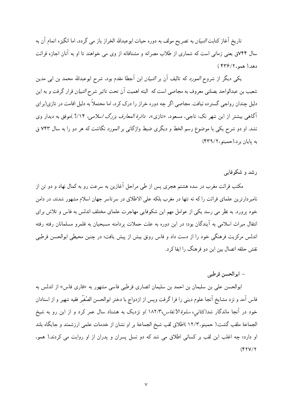تاریخ آغاز کتابت *التبیان* به تصریح مولف به دوره حیات ابوعبدالله الخراز باز می گردد. اما انگیزه اتمام آن به سال ۷۴۴ق یعنی زمانی است که شماری از طلاب مصرانه و مشتاقانه از وی می خواهند تا او به آنان اجازه قرائت  $($  ۳۳۶/۲، همو $)$ ۶۳۶)

یکی دیگر از شروح *المورد* که تالیف آن بر *التبیان* ابن آجطا مقدم بود، شرح ابوعبدالله محمد بن ابی مدین شعیب بن عبدالواحد یصلتی معروف به مجاصی است که البته اهمیت آن تحت تاثیر شرح *التبیان* قرار گرفت و به این دلیل چندان رواجی گسترده نیافت. مجاصی اگر چه دوره خراز را درک کرد، اما محتملاً به دلیل اقامت در تازی(برای آگاهی بیشتر از این شهر نک: ناجی، مسعود، «تازی»، *دائرة المعارف بزرگ اسلامی، ۱۴٪*؟ )موفق به دیدار وی نشد. او دو شرح یکی با موضوع رسم الخط و دیگری ضبط واژگانی بر *المورد* نگاشت که هر دو را به سال ۷۴۲ ق به پایان بر د.(حمیتو، ۴۳۹/۲)

رشد و شکوفایے

مکتب قرائت مغرب در سده هشتم هجری پس از طی مراحل آغازین به سرعت رو به کمال نهاد و دو تن از نامبردارترین علمای قرائت را که نه تنها در مغرب بلکه علی الاطلاق در سرتاسر جهان اسلام مشهور شدند. در دامن خود پرورد. به نظر می رسد یکی از عوامل مهم این شکوفایی مهاجرت علمای مختلف اندلس به فاس و تلاش برای انتقال میراث اسلامی به آیندگان بود؛ در این دوره به علت حملات پردامنه مسیحیان به قلمرو مسلمانان رفته رفته اندلس مرکزیت فرهنگی خود را از دست داد و فاس رونق بیش از پیش یافت؛ در چنین محیطی ابوالحسن قرطبی نقش حلقه اتصال بین این دو فرهنگ را ایفا کر د.

## – ابوالحسن قرطبي

ابوالحسن علی بن سلیمان بن احمد بن سلیمان انصاری قرطبی فاسی مشهور به «قاری فاس» از اندلس به فاس آمد و نزد مشایخ آنجا علوم دینی را فرا گرفت وپس از ازدواج با دختر ابوالحسن الصُغَیّر فقیه شهیر و از استادان خود در آنجا ماندگار شد(کتان<sub>ی</sub>، *سلوة الانفاس،۱*۸۲/۳)و نزدیک به هشتاد سال عمر کرد و از این رو به شیخ الجماعة ملقب گشت.( حمیتو،١٢/٣ )اطلاق لقب شیخ الجماعة بر او نشان از خدمات علمی ارزشمند و جایگاه بلند او دارد؛ چه اغلب این لقب بر کسانی اطلاق می شد که دو نسل پسران و پدران از او روایت می کردند.( همو،  $(YYY/Y)$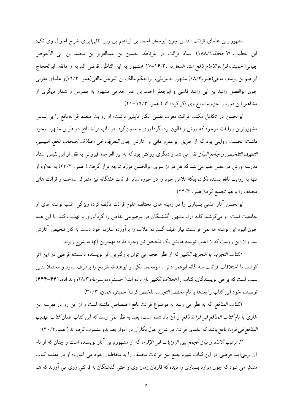مشهورترین علمای قرائت اندلس چون ابوجعفر احمد بن ابراهیم بن زبیر ثقفی(برای شرح احوال وی نک: ابن خطيب، الاح*اطة.*١٨٨/١) استاد قرائت در غرناطه، حسين بن عبدالعزيز بن محمد بن ابي الأحوص جياني(حميتو، *قراءة الأمام نافع عند المغاربه* ١۶/٣، -١٧ )مشهور به ابن الناظر، قاضي المريه و مالقه، ابوالحجاج ابراهيم بن يوسف مالقي(همو،١٨/٣) مشهور به مريلي، ابوالحكم مالك بن المرحل مالقي(همو، ١٩/٣)و علماي مغربي چون ابوالفضل راشد بن ابی راشد فاسی و ابوجعفر احمد بن عمر جذامی مشهور به مضرس و شمار دیگری از مشاهیر این دوره را جزو مشایخ وی ذکر کرده اند.( همو، ۱۹/۳-۲۱)

ابوالحسن در تکامل مکتب قرائت مغرب نقشی انکار ناپذیر داشت؛ او روایت متعدد قراءة نافع را بر اساس مشهورترین روایات موجود که ورش و قالون بود، گردآوری و مدون کرد. در باب قراءهٔ نافع دو طریق مشهور وجود داشت: نخست روايتي بود كه از طريق ابوعمرو داني و آثارش چون *التعريف في اختلاف اصحاب نافع، التيسير، التمهيد، التلخيص و جامع البيان* نقل مي شد و ديگري روايتي بود كه به ابن العرجاء قيرواني به نقل از ابن نفيس استاد مدرسه ورش در مصر ختم می شد که هر دو از سوی ابوالحسن مورد توجه قرار گرفت.( همو، ۲۳/۳) به علاوه او تنها به روایت نافع بسنده نکرد، بلکه تلاش خود را در حوزه سایر قرائات هفتگانه نیز متمرکز ساخت و قرائت های مختلف را با هم تجميع كرد.( همو، ٢٣/٣)

ابوالحسن آثار علمی بسیاری را در زمینه های مختلف علوم قرائت تالیف کرد؛ ویژگی اغلب نوشته های او جامعیت است؛ او میکوشید کلیه آراء مشهور گذشتگان در موضوعی خاص را گردآوری و تهذیب کند. با این همه چون انبوه این نوشته ها نمی توانست نیاز طیف گسترده طلاب را برآورده سازد، خود دست به کار تلخیص آثارش شد و از این روست که از اغلب نوشته هایش یک تلخیص نیز وجود دارد؛ مهمترین آنها به شرح زیرند:

۱*.کتاب التجرید یا التجرید الکبیر* که از نظر حجم می توان بزرگترین اثر نویسنده دانست؛ قرطبی در این اثر کوشید تا اختلافات قرائات سه گانه ابوعمر دانی ، ابومحمد مکی و ابوعبدالله شریح را برطرف سازد و محتملاً بدین سبب است كه برخي نويسندگان، كتاب را *الخلاف الكبير* نام داده اند.( حميتو، *موسوعة*، ٢٨/٣؛ ولد اباه،۴۴۱-۴۴۴) نویسنده خود این کتاب را بعدها با نام *مختصر التجرید* تلخیص کرد.( حمیتو، همان، ۳۰/۳)

۲*کتاب المنافع* که به نظر می رسد به موضوع قرائت نافع اختصاص داشته است و از این رو در فهرسه ابن غازی با نام *کتاب المنافع فی قراءة نافع* از آن یاد شده است؛ بعید به نظر نمی رسد که این کتاب همان *کتاب تهذیب* المنافع في قراءة نافع باشد كه علماي قرائت در شرح حال نگاران در ادوار بعد بدو منسوب كرده اند.( همو، ۴٠/٣)

۳. *ترتیب الاداء و بیان الجمع بین الروایات فی الإقراء* که از مشهورترین آثار نویسنده است و چنان که از نام آن برمیآید، قرطبی در این کتاب شیوه جمع بین قرائات مختلف را به مخاطبان خود می آموزد؛ او در مقدمه کتاب متذکر می شود که چون موارد بسیاری را دیده که قاریان زمان وی و حتی گذشتگان به قرائتی روی می آورند که هم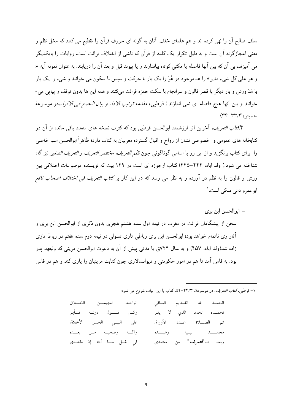سلف صالح آن را نھی کردہ اند و ہم علمای خلف. آنان به گونه ای حروف قرآن را تقطیع می کنند که مخل نظم و معنی اعجازگونه آن است و به دلیل تکرار یک کلمه از قرآن که ناشی از اختلاف قرائت است، روایات را بایکدیگر می آمیزند، بی آن که بین آنها فاصله یا مکثی کوتاه بیاندازند و یا پیوند قبل و بعد آن را دریابند. به عنوان نمونه آیه « و هو علمی کل شيء قدير » را هــ موجود در هُوَ را يک بار با حرکت و سپس با سکون مي خوانند و شيء را يک بار با مَدّ ورش و بار دیگر با قصر قالون و سرانجام با سکت حمزه قرائت میکنند و همه این ها بدون توقف و پیایی می-خوانند و بين آنها هيچ فاصله اى نمى اندازند.( قرطبى، مقدمه *ترتيب الادا . و بيان الجمع فى الاقرا ،،د*ر موسوعة  $(\Upsilon \Upsilon - \Upsilon \Upsilon) \Upsilon$ , حمته

۴کتا*ب التعریف.* آخرین اثر ارزشمند ابوالحسن قرطبی بود که کثرت نسخه های متعدد باقی مانده از آن در کتابخانه های عمومی و خصوصی نشان از رواج و اقبال گسترده مغربیان به کتاب دارد؛ ظاهراً ابوالحسن اسم خاصی را براي كتاب برنگزيد و از اين رو با اسامي گوناگوني جون *نظم التعريف، مختصر التعريف و التعريف الصغي*ر نيز گاه شناخته می شود.( ولد آباه، ۴۴۴–۴۴۵) کتاب ارجوزه ای است در ۱۴۹ بیت که نویسنده موضوعات اختلافی بین ورش و قالون را به نظم در آورده و به نظر می رسد که در این کار بر *کتاب التعریف فی اختلاف اصحاب نافع* ابوعمرو دانی متکی است.`

– ابوالحسن ابن بري سخن از پیشگامان قرائت در مغرب در نیمه اول سده هشتم هجری بدون ذکری از ابوالحسن ابن بری و آثار وی ناتمام خواهد بود؛ ابوالحسن ابن بری رباطی تازی تسولی در نیمه دوم سده هفتم در رباط تازی زاده شد(ولد اباه، ۴۵۷) و به سال ۷۲۴ق یا مدتبی پیش از آن به دعوت ابوالحسن مرینی که ولیعهد پدر بود، به فاس آمد تا هم در امور حکومتی و دیوانسالاری چون کتابت مرینیان را یاری کند و هم در فاس

١- قرطبي ،كت*اب التعريف*، در موسوعة، ٣٤/٣-٥٢، كتاب با اين ابيات شروع مي شود:

| الواحد المهيمسن الخسلاق        |  | الحمسد لله القسديم البساقي               |  |
|--------------------------------|--|------------------------------------------|--|
| وكسل قــــول دونــه فــأبتر    |  | نحمــده الحمد الذي لا يفتر               |  |
| على النبــى الحسن الأخلاق      |  | ثم الصلاة عــدد الأوراق                  |  |
| وآلــه وصحبـه مــن بعـــده     |  | محمــــــــــد نبــــيه وعبـــــــده     |  |
| في نقـــل مــــا أبثه إذ مقصدي |  | وبعد ف <b>"<i>التعريف</i>"</b> من معتمدي |  |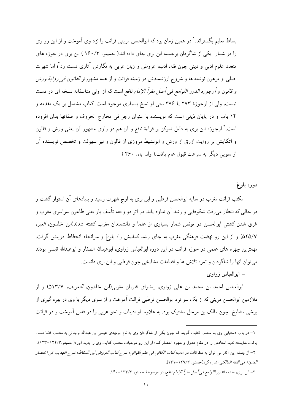بساط تعلیم بگستراند.' در همین زمان بود که ابوالحسن مرینی قرائت را نزد وی آموخت و از این رو وی را در شمار یکی از شاگردان برجسته ابن بری جای داده اند.( حمیتو، ۱۶۰/۳) ابن بری در حوزه های متعدد علوم ادبی و دینی چون فقه، ادب، عروض و زبان عربی به نگارش آثاری دست زد ٔ؛ اما شهرت اصلی او مرهون نوشته ها و شروح ارزشمندش در زمینه قرائت و از همه مشهورتر *القانون فی روایة ورش و قالون و أرجوزه الدرر اللوامع في أصل مقرأ الإمام نافع* است كه از اولى متاسفانه نسخه اى در دست نیست، ولی از ارجوزهٔ ۲۷۳ یا ۲۷۶ بیتی او نسخ بسیاری موجود است. کتاب مشتمل بر یک مقدمه و ۱۴ باب و در پایان ذیلی است که نویسنده با عنوان رجز فی مخارج الحروف و صفاتها بدان افزوده است.<sup>۳</sup> ارجوزه ابن بری به دلیل تمرکز بر قراءهٔ نافع و آن هم دو راوی مشهور آن یعنی ورش و قالون و اتکایش بر روایت ازرق از ورش و ابونشیط مروزی از قالون و نیز سهولت و تخصص نویسنده آن از سویی دیگر به سرعت قبول عام یافت.( ولد اباه، ۴۶۰ )

دوره بلوغ

مکتب قرائت مغرب در سایه ابوالحسن قرطبی و ابن بری به اوج شهرت رسید و بنیادهای آن استوار گشت و در حالی که انتظار میرفت شکوفایی و رشد آن تداوم یابد، در اثر دو واقعه تأسف بار یعنی طاعون سراسری مغرب و غرق شدن كشتى ابوالحسن در تونس شمار بسيارى از علما و دانشمندان مغرب كشته شدند(ابن خلدون، العبر، ۵۲۵/۷) و از این رو نهضت فرهنگی مغرب به جای رشد کمابیش راه بلوغ و سرانجام انحطاط درپیش گرفت. مهمترین چهره های علمی در حوزه قرائت در این دوره ابوالعباس زواوی، ابوعبدالله الصفار و ابوعبدالله قیسی بودند مي توان آنها را شاگر دان و ثمره تلاش ها و اقدامات مشايخي چون قرطبي و اين بري دانست.

– ابوالعباس زواوي

ابوالعباس احمد بن محمد بن علي زواوي، پيشواي قاريان مغربي(ابن خلدون*، التعريف، ۵۱۳/۷*) و از ملازمین ابوالحسن مرینی که از یک سو نزد ابوالحسن قرطبی قرائت آموخت و از سوی دیگر با وی در بهره گیری از برخی مشایخ چون مالک بن مرحل مشترک بود. به علاوه او ادبیات و نحو عربی را در فاس آموخت و در قرائت

٣– ابن برى، مقدمه *الدرر اللوامع في أصل مقرأ الإمام نافع،* در موسوعهٔ حميتو، ١٣٣/٣–١۴٠.

۱– در باب دستیابی وی به منصب کتابت گویند که چون یکی از شاگردان وی به نام ابومهدی عیسی بن عبدالله ترجالی به منصب قضا دست یافت، شایسته ندید استادش را در مقام عدول و شهود احضار کند؛ از این رو موجبات منصب کتابت وی را پدید آورد( حمیتو،۱۲۲/۳–۱۲۳). ٢– از جمله اين آثار مي توان به متفرقات در ادب؛كتا*ب الكافي في علم القوافي؛ شرح كتاب العروض ابن السقاط؛ شرح التهذيب في اختصار* العدونة في الفقه العالكي اشاره كر د(حميتو، ١٢٧/٣-١٣١).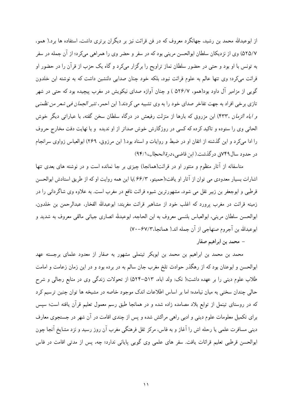از ابوعبدالله محمد بن رشید، جهانگرد معروف که در فن قرائت نیز بر دیگران برتری داشت، استفاده ها برد.( همو، ۵۲۵/۷) وي از نزديكان سلطان ابوالحسن مريني بود كه در سفر و حضر وي را همراهي ميكرد؛ از آن جمله در سفر به تونس با او بود و حتی در حضور سلطان نماز تراویح را برگزار میکرد و گاه یک حزب از قرآن را در حضور او قرائت میکرد؛ وی تنها عالم به علوم قرائت نبود، بلکه خود چنان صدایی دلنشین داشت که به نوشته ابن خلدون گویی از مزامیر آل داود بود(همو، ۵۲۶/۷ ) و چنان آوازه صدای نیکویش در مغرب پیچیده بود که حتی در شهر تازي برخي افراد به جهت تفاخر صداي خود را به وي تشبيه مي كردند.( ابن احمر، *نثير الجمان في شعر من نظمني و ایاه الزمان ،*۴۳۳) ابن مزروق که بارها از منزلت رفیعش در درگاه سلطان سخن گفته، با عباراتی دیگر خوش الحاني وي را ستوده و تاكيد كرده كه كسي در روزگارش خوش صداتر از او نديده و با نهايت دقت مخارج حروف را ادا میکرد و این گذشته از اتقان او در ضبط و روایات و اسناد بود.( ابن مرزوق، ۲۶۹) ابوالعباس زواوی سرانجام در حدود سال ۷۴۹ق در گذشت.( این قاضی، *در ة الحجال*، ۹۴/۱)

متاسفانه از آثار منظوم و منثور او در قرائت(همانجا) چیزی بر جا نمانده است و در نوشته های بعدی تنها اشارات بسیار معدودی می توان از آثار او یافت؛(حمیتو، ۶۶/۳)با این همه روایت او که از طریق استادش ابوالحسن قرطبی و ابوجعفر بن زبیر نقل می شود، مشهورترین شیوه قرائت نافع در مغرب است. به علاوه وی شاگردانی را در زمینه قرائت در مغرب پرورد که اغلب خود از مشاهیر قرائت مغربند: ابوعبدالله الفخار، عبدالرحمن بن خلدون، ابوالحسن سلطان مريني، ابوالعباس بلنسي معروف به ابن الحاجه، ابوعبدلله انصاري جياني مالقي معروف به شديد و ابوعبدالله بن أجروم صنهاجي از أن جمله اند.( همانجا،٣/٣-٧٠)

– محمد بن ابراهیم صفار

محمد بن محمد بن ابراهیم بن محمد بن ابوبکر تینملی مشهور به صفار از معدود علمای برجسته عهد ابوالحسن و ابوعنان بود که از رهگذر حوادث تلخ مغرب جان سالم به در برده بود و در این زمان زعامت و امامت طلاب علوم دینی را بر عهده داشت؛( نک: ولد اباه، ۵۱۳–۵۲۴) از تحولات زندگی وی در منابع رجالی و شرح حالي چندان سخني به ميان نيامده؛ اما بر اساس اطلاعات اندک موجود خاصه در مشيخه ها توان چنين ترسيم کرد که در روستای تینمل از توابع بلاد مصامده زاده شده و در همانجا طبق رسم معمول تعلیم قرآن یافته است؛ سیس برای تکمیل معلومات علوم دینی و ادبی راهی مراکش شده و پس از چندی اقامت در آن شهر در جستجوی معارف دینی مسافرت علمی یا رحله اش را آغاز و به فاس، مرکز ثقل فرهنگی مغرب آن روز رسید و نزد مشایخ آنجا چون ابوالحسن قرطبی تعلیم قرائات یافت. سفر های علمی وی گویی پایانی ندارد؛ چه، پس از مدتی اقامت در فاس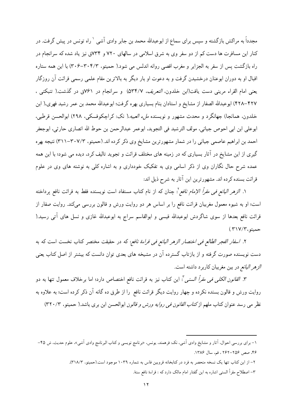مجدداً به مراکش بازگشته و سیس برای سماع از ابوعبدالله محمد بن جابر وادی آشی `راه تونس در پیش گرفت. در کنار این مسافرت ها دست کم از دو سفر وی به شرق اسلامی در سالهای ۷۲۰ و ۷۳۴ق نیز یاد شده که سرانجام در راه بازگشت پس از سفر به الجزایر و مغرب اقصی روانه اندلس می شود.( حمیتو، ۳۰۴/۳-۳۰۶) با این همه ستاره اقبال او به دوران ابوعنان درخشیدن گرفت و به دعوت او بار دیگر به بالاترین مقام علمی رسمی قرائت آن روزگار یعنی امام القراء مرینی دست یافت(ابن خلدون*، التعریف،* ۵۳۴/۷) و سرانجام در ۷۶۱ق در گذشت.( تنبکتی ، ۴۲۷–۴۲۸) ابوعبدالله الصفار از مشايخ و استادان بنام بسياري بهره گرفت؛ ابوعبدالله محمد بن عمر رشيد فهري،( ابن خلدون، همانجا) جهانگرد و محدث مشهور و نویسنده *ملء العیبه،(* نک: کراچکوفسکی، ۲۹۸) ابوالحسن قرطبی، ابوعلى ابن ابي احوص جياني، مولف الترشيد في التجويد، ابوعمر عبدالرحمن بن حوط الله انصارى حارثي، ابوجعفر احمد بن ابراهیم عاصمی جیانی را در شمار مشهورترین مشایخ وی ذکر کرده اند. (حمیتو، ۳۰۷/۳–۳۱۱) نتیجه بهره گیری از این مشایخ در آثار بسیاری که در زمینه های مختلف قرائت و تجوید تالیف کرد، دیده می شود؛ با این همه عمده شرح حال نگاران وی از ذکر اسامی وی به تفکیک خودداری و به اشاره کلی به نوشته های وی در علوم قرائت بسنده كرده اند. مشهورترين اين آثار به شرح ذيل اند:

۱. *الزهر اليانع في مقرأ الإمام نافع*': چنان كه از نام كتاب مستفاد است نويسنده فقط به قرائت نافع يرداخته است؛ او به شیوه معمول مغربیان قرائت نافع را بر اساس هر دو روایت ورش و قالون بررسی میکند. روایت صفار از قرائت نافع بعدها از سوی شاگردش ابوعبدالله قیسی و ابوالقاسم سراج به ابوعبدالله غازی و نسل های آتی رسید.( حميتو،٢١٧/٣)

٢. ا*سفار الفجر الطالع في اختصار الزهر اليانع في قراءة نافع*: كه در حقيقت مختصر كتاب نخست است كه به دست نویسنده صورت گرفته و از بازتاب گسترده آن در مشیخه های بعدی توان دانست که بیشتر از اصل کتاب یعنی الزهر اليانع در بين مغربيان كاربرد داشته است.

٣. *القانون الكلي في مقرأ السنبي "*: اين كتاب نيز به قرائت نافع اختصاص دارد؛ اما برخلاف معمول تنها به دو روايت ورش و قالون بسنده نكرده و چهار روايت ديگر قرائت نافع را از طرق ده گانه آن ذكر كرده است؛ به علاوه به نظر می رسد عنوان کتاب ملهم از *کتاب القانون فی روایه ورش و قالون* ابوالحسن ابن بری باشد.( حمیتو، ۲۲۰/۳)

- ۲– از این کتاب تنها یک نسخه منحصر به فرد در کتابخانه قرویین فاس به شماره ۱۰۳۹ موجود است.(حمیتو، ۳۱۸/۳).
	- ٣– اصطلاح مقرأ السنبي اشاره به اين گفتار امام مالک دارد که : قراءة نافع سنة.

۱– برای بررسی احوال. آثار و مشایخ وادی آشی، نکـ: فرهمند. یونس، «برنامج نویسی و کتاب البرنامج وادی آشی». علوم حدیث. ش ۴۵– ۴۶، صص ۲۵۶–۲۶۲ ، قم، سال ۱۳۸۶.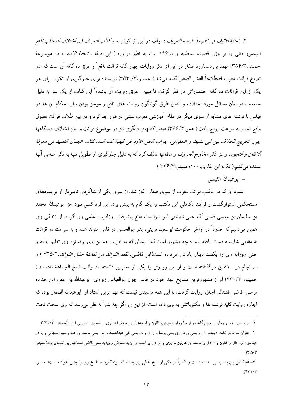۴. تح*فة الأليف في نظم ما تضمنه التعريف* : مولف در اين اثر كوشيده تاكتا*ب التعريف في اختلاف اصحاب نافع* ابوعمرو دانی را بر وزن قصیده شاطبیه و در۱۹۶ بیت به نظم درآورد.( ابن صفار، *تحفة الالیف،* در موسوعة حمیتو ،۳۵۴/۳) مهمترین دستاورد صفار در این اثر ذکر روایات چهار گانه قرائت نافع` و طرق ده گانه آن است که در تاریخ قرائت مغرب اصطلاحاً العشر الصغیر گفته می شد.( حمیتو،۳/ ۳۵۳) نویسنده برای جلوگیری از تکرار برای هر یک از این قرائات ده گانه اختصاراتی در نظر گرفت تا مبین طرق روایت آن باشد؛<sup>۲</sup> این کتاب از یک سو به دلیل جامعیت در بیان مسائل مورد اختلاف و اتفاق طرق گوناگون روایت های نافع و موجز بودن بیان احکام آن ها در قیاس با نوشته های مشابه از سوی دیگر در نظام آموزشی مغرب نقشی درخور ایفا کرد و در بین طلاب قرائت مقبول واقع شد و به سرعت رواج یافت.( همو،۳۶۶/۲) صفار کتابهای دیگری نیز در موضوع قرائت و بیان اختلاف دیدگاهها جون تخريج الخلاف بين ابي نشيط و الحلواني، جواب الخل الاود في كيفية اداء المد، كتاب الجمان النضيد في معرفة /لاتقا*ن و التجوید و نیز ذکر مخارج الحروف و صفاتها* تالیف کرد که به دلیل جلوگیری از تطویل تنها به ذکر اسامی آنها بسنده مي کنيم.( نک: ابن غازي، ۱۰۰؛حميتو،۲۲۶/۳)

– ابو عبدالله القيسى

شیوه ای که در مکتب قرائت مغرب از سوی صفار آغاز شد، از سوی یکی از شاگر دان نامبر دار او بر بنیادهای مستحکمی استوارگشت و فرایند تکاملی این مکتب را یک گام به پیش برد. این فرد کسی نبود جز ابوعبدالله محمد بن سلیمان بن موسی قیسی<sup>۳</sup>که حتبی نابینایی اش نتوانست مانع پیشرفت روزافزون علمی وی گردد. از زندگی وی همین میدانیم که حدوداً در اواخر حکومت ابوسعید مرینی، پدر ابوالحسن در فاس متولد شده و به سرعت در قرائت به مقامی شایسته دست یافته است؛ چه مشهور است که ابوعنان که به تقریب همسن وی بود، نزد وی تعلیم یافته و حتى روزانه وى را يكصد دينار ياداش مىداده است(ابن قاضى، *لقط الفرائد من لفاظة حقق الفوائد*،٧٢٥/٢ ) و سرانجام در ۸۱۰ ق درگذشته است و از این رو وی را یکی از معمرین دانسته اند ولقب شیخ الجماعة داده اند.( حمیتو، ۴۳۰/۳) او از مشهورترین مشایخ عهد خود در فاس چون ابوالعباس زواوی، ابوعبدالله بن عمر، ابن حداده مرسی، قاضی فشتالی اجازه روایت گرفت؛ با این همه تردیدی نیست که مهم ترین استاد او ابوعبدالله الصفار بوده که اجازه روایت کلیه نوشته ها و مکتوباتش به وی داده است؛ از این رو اگر حه بدواً به نظر می رسد که وی سخت تحت

۱– مراد نویسنده از روایات چهارگانه در اینجا روایت ورش، قالون و اسماعیل بن جعفر انصاری و اسحاق المسیبی است.(حمیتو، ۲۲۲۲). ۲– عنوان نمونه در کلمه «جیتص»: ج یعنی ورش؛ ی یعنی یوسف ازرق و ت یعنی تقی عبدالصمد و ص یعنی محمد بن عبدالرحیم اصفهانی و یا در «بمحق» ب: دال بر قالون و م: دال بر محمد بن هارون مروزي و ح: دال بر احمد بن يزيد حلواني و ق: به معنى قاضي اسماعيل بن اسحاق بود.(حميتو،  $(580/5)$ 

۳– نام کامل وی به درستی دانسته نیست و ظاهراً در یکی از نسخ خطی وی به نام المیمونه *الفریده*، ناسخ وی را چنین خوانده است( حمیتو،  $(51)/7$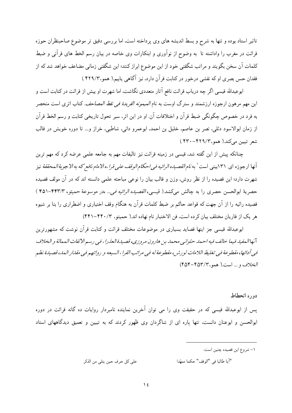تاثیر استاد بوده و تنها به شرح و بسط اندیشه های وی پرداخته است، اما بررسی دقیق تر موضوع صاحبنظران حوزه قرائت در مغرب را واداشته تا به وضوح از نوآوري و ابتكارات وي خاصه در بيان رسم الخط هاي قرآني و ضبط كلمات آن سخن بگویند و مراتب شگفتی خود از این موضوع ابراز كنند؛ این شگفتی زمانی مضاعف خواهد شد كه از فقدان حس بصري او كه نقشي درخور در كتابت قر آن دارد، نيز آگاهي پابيم.( همو،۴۲۹/۳ )

ابوعبدالله قیسی اگر چه درباب قرائت نافع آثار متعددی نگاشت، اما شهرت او بیش از قرائت در کتابت است و این مهم مرهون ارجوزه ارزشمند و سترگ اوست به نام *المیمونه الفریدهٔ فی نقط المصاحف.* کتاب اثری است منحصر به فرد در خصوص چگونگی ضبط قرآن و اختلافات آن. او در این اثر، سیر تحول تاریخی کتابت و رسم الخط قرآن از زمان ابوالاسود دئلي، نصر بن عاصم، خليل بن احمد، ابوعمرو داني، شاطبي، خراز و... تا دوره خويش در قالب شعر تبيين مي كند.( همو،١٢٢٩-٣٢٠ )

چنانکه پیش از این گفته شد، قیسی در زمینه قرائت نیز تالیفات مهم به جامعه علمی عرضه کرد که مهم ترین آنها ارجوزه اي ۱۳۱بيتي است<sup>\</sup> به *نام القصيده الرائيه في احكام الوقف علي قرا*ءه *الامام نافع كه به الاجوية ال*مح*ققة* نيز شهرت دارد؛ این قصیده را از نظر روش، وزن و قالب بیان را نوعی مباحثه علمی دانسته اند که در آن مولف قصیده حصرية ابوالحسن حصري را به چالش مي كشد.( قيسي، *القصيده الرائيه في...* ،در موسوعة حميتو، ۴۴۳/۳-۴۵۱ ) قصیده رائیه را از آن جهت که قواعد حاکم بر ضبط کلمات قرآن به هنگام وقف اختیاری و اضطراری را بنا بر شیوه هر يك از قاريان مختلف بيان كرده است، فن الاختبار نام نهاده اند.( حميتو، ۴۴۰/-۴۴۱)

ابوعبدالله قیسی جز اینها قصاید بسیاری در موضوعات مختلف قرائت و کتابت قرآن نوشت که مشهورترین آنهاالمفيد فيما خالف فيه احمد حلوانبي محمد بن هارون مروزي، قصيدة العذرا ، فبي رسم الالفات الممالة و الخلاف فيي أدائها، مقطوعة فيي تغليظ اللامات لورش، مقطوعة له فيي مراتب القرا ءالسبعه و رواتهم فيي مقدار المد، قصيدة نظم الخلاف و... است.( همو، ۴۵۳/۲-۴۵۴)

## دوره انحطاط

پس از ابوعبدالله قیسی که در حقیقت وی را می توان آخرین نماینده نامبردار روایات ده گانه قرائت در دوره ابوالحسن و ابوعنان دانست، تنها یاره ای از شاگردان وی ظهور کردند که به تبیین و تعمیق دیدگاههای استاد

- ١- شروع اين قصيده چنين است:
- على كل حرف حين يتلي من الذكر "أيا طالبا في "الوقف" حكما ممهّدا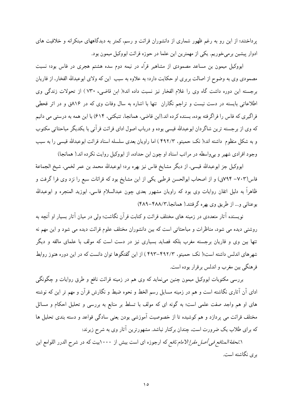پرداختند؛ از این رو به رغم ظهور شماری از دانشوران قرائت و رسم، کمتر به دیدگاههای مبتکرانه و خلاقیت های ادوار پیشین برمی خوریم. یکی از مهمترین این علما در حوزه قرائت ابووکیل میمون بود.

ابووکیل میمون بن مساعد مصمودی از مشاهیر قرّاء در نیمه دوم سده هشتم هجری در فاس بود؛ نسبت مصمودي وي به وضوح از اصالت بربري او حكايت دارد؛ به علاوه به سبب اين كه ولاي ابوعبدالله الفخار، از قاريان برجسته این دوره داشت گاه وی را غلام الفخار نیز نسبت داده اند؛( ابن قاضی، ۷۳۰) از تحولات زندگی وی اطلاعاتی بایسته در دست نیست و تراجم نگاران تنها با اشاره به سال وفات وی که در ۸۱۶ق و در اثر قحطی فراگیری که فاس را فراگرفته بوده، بسنده کرده اند.(ابن قاضی، همانجا، تنبکتی، ۶۱۴) با این همه به درستی می دانیم که وی از برجسته ترین شاگردان ابوعبدالله قیسی بوده و درباب اصول ادای قرائت قرآنی با یکدیگر مباحثاتی مکتوب و به شکل منظوم داشته اند؛( نک: حمیتو، ۴۹۲/۳ ) اما راویان بعدی سلسله اسناد قرائت ابوعبدالله قیسی را به سبب وجود افرادي شهير و بي واسطه در مراتب اسناد او چون ابن حداده، از ابووكيل روايت نكرده اند.( همانجا)

ابووكيل جز ابوعبدالله قيسى، از ديگر مشايخ فاس نيز بهره برد؛ ابوعبدالله محمد بن عمر لخمى، شيخ الجماعة فاس(٧٠٣–٧٩۴ق) و از اصحاب ابوالحسن قرطبي يكي از اين مشايخ بود كه قرائات سبع را نزد وي فرا گرفت و ظاهراً به دلیل اتقان روایات وی بود که راویان مشهور بعدی چون عبدالسلام فاسی، ابوزید المنجره و ابوعبدالله بوعناني و... از طريق وي بهره گرفتند.( همانجا،۴۸۸/۳-۴۸۹)

نویسنده آثار متعددی در زمینه های مختلف قرائت و کتابت قرآن نگاشت؛ ولی در میان آثار بسیار او آنچه به روشنی دیده می شود، مناظرات و مباحثاتی است که بین دانشوران مختلف علوم قرائت دیده می شود و این مهم نه تنها بین وی و قاریان برجسته مغرب بلکه قصاید بسیاری نیز در دست است که مولف با علمای مالقه و دیگر شهرهای اندلس داشته است؛( نک: حمیتو، ۴۹۲/۳–۴۹۲ ) از این گفتگوها توان دانست که در این دوره هنوز روابط فرهنگی بین مغرب و اندلس برقرار بوده است.

بررسی مکتوبات ابووکیل میمون چنین می;نماید که وی هم در زمینه قرائت نافع و طرق روایات و چگونگی ادای آن آثاری نگاشته است و هم در زمینه مسایل رسم الخط و نحوه ضبط و نگارش قرآن و مهم تر این که نوشته های او هم واجد صفت علمی است؛ به گونه ای که مولف با تسلط بر منابع به بررسی و تحلیل احکام و مسائل مختلف قرائت می پردازد و هم کوشیده تا از خصوصیت آموزشی بودن یعنی سادگی قواعد و دسته بندی تحلیل ها که برای طلاب یک ضرورت است، چندان برکنار نباشد. مشهورترین آثار وی به شرح زیرند:

۱.*تحفة المنافع في أصل مقرإ الامام نافع* كه ارجوزه اي است بيش از ۱۰۰۰بيت كه در شرح الدرر اللوامع ابن بری نگاشته است.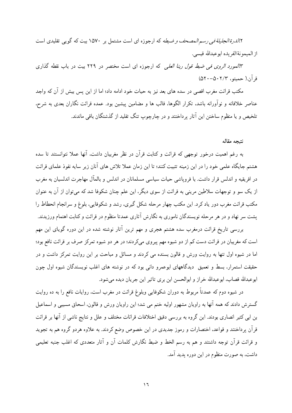۲٪*الدرة الجليلة في رسم المصحف و ضبطه* كه ارجوزه اي است مشتمل بر ۱۵۷۰ بيت كه گويي تقليدي است از الميمونة الفريده ابوعبدالله قيسى.

٣*!لمورد الروى في ضبط قول ربنا العلي* كه ارجوزه اى است مختصر در ٢٢٩ بيت در باب نقطه گذارى  $(\Delta Y \cdot - \Delta \cdot Y/Y, \Delta Z)$ قرآن( حميتو، ۱

مکتب قرائت مغرب اقصی در سده های بعد نیز به حیات خود ادامه داد؛ اما از این پس بیش از آن که واجد عناصر خلاقانه و نوآورانه باشد، تکرار الگوها، قالب ها و مضامین پیشین بود. عمده قرائت نگاران بعدی به شرح، تلخيص و يا منظوم ساختن اين آثار پرداختند و در چارچوپ تنگ تقليد از گذشتگان باقي ماندند.

نتبجه مقاله

به رغم اهمیت درخور توجهی که قرائت و کتابت قرآن در نظر مغربیان داشت، آنها عملا نتوانستند تا سده هشتم جایگاه علمی خود را در این زمینه تثبیت کنند؛ تا این زمان عملا تلاش های آنان زیر سایه نفوذ علمای قرائت در افریقیه و اندلس قرار داشت. با فرویاشی حیات سیاسی مسلمانان در اندلس و بالمآل مهاجرت اندلسیان به مغرب از یک سو و توجهات سلاطین مرینی به قرائت از سوی دیگر، این علم چنان شکوفا شد که می توان از آن به عنوان مکتب قرائت مغرب دور یاد کرد. این مکتب چهار مرحله شکل گیری، رشد و شکوفایی، بلوغ و سرانجام انحطاط را یشت سر نهاد و در هر مرحله نویسندگان ناموری به نگارش آثاری عمدتا منظوم در قرائت و کتابت اهتمام ورزیدند.

بررسی تاریخ قرائت درمغرب سده هشتم هجری و مهم ترین آثار نوشته شده در این دوره گویای این مهم است که مغربیان در قرائت دست کم از دو شیوه مهم پیروی میکردند؛ در هر دو شیوه تمرکز صرف بر قرائت نافع بود؛ اما در شیوه اول تنها به روایت ورش و قالون بسنده می کردند و مسائل و مباحث بر این روایت تمرکز داشت و در حقیقت استمرار، بسط و تعمیق دیدگاههای ابوعمرو دانی بود که در نوشته های اغلب نویسندگان شیوه اول چون ابوعبدالله قصاب، ابوعبدالله خراز و ابوالحسن ابن بري تاثير اين جريان ديده مي شود.

در شیوه دوم که عمدتاً مربوط به دوران شکوفایی وبلوغ قرائت در مغرب است، روایات نافع را به ده روایت گسترش دادند که همه آنها به راویان مشهور اولیه ختم می شد؛ این راویان ورش و قالون، اسحاق مسیبی و اسماعیل بن ابی کثیر انصاری بودند. این گروه به بررسی دقیق اختلافات قرائات مختلف و علل و نتایج ناشی از آنها بر قرائت قر آن پر داختند و قواعد، اختصارات و رموز جدیدی در این خصوص وضع کردند. به علاوه هردو گروه هم به تجوید و قرائت قرآن توجه داشتند و هم به رسم الخط و ضبط نگارش کلمات آن و آثار متعددی که اغلب جنبه تعلیمی داشت، به صورت منظوم در این دوره یدید آمد.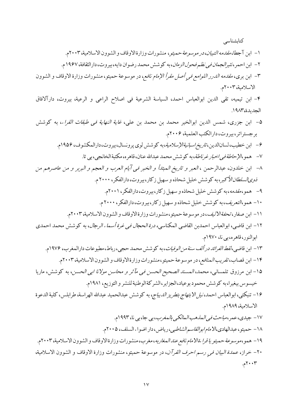کتابشناسی

- ١– ابن آجطا، *مقدمه التبيان، در موسوعة حميتو*، منشورات وزارة الاوقاف و الشوون الاسلامية، ٢٠٠٣م.
- ٢- ابن احمر، *نشير الجمان في نظم فحول الزمان*، به كوشش محمد رضوان دايه، بيروت، دارالثقافة، ١٩٤٧ م.
- ٣- ابن برى، *مقدمه الدرر اللوامع في أصل مقرأ الإمام نافع*، در موسوعة حميتو، منشورات وزارة الاوقاف و الشوون الاسلامية، ٢٠٠٣م.

۴- ابن تيميه، تقى الدين ابوالعباس احمد، السياسة الشرعية في اصلاح الراعي و الرعية، بيروت، دارآلافاق الجديدة،١٩٨٣.

- ۵– ابن جزري، شمس الدين ابوالخير محمد بن محمد بن علي، *غاية النهاية في طبقات القراء*، به كوشش برجستراتر، بيروت، دارالكتب العلمية، ٢٠٠۶م.
	- ۶ ابن خطیب،لسانالدین،ت*اریخ اسبانیةالإسلامیة*،به کوشش لوی پرونسال،بیروت،دارالمکشوف، ۱۹۵۶م.
		- ٧ همو ،الإح*اطة في اخبار غرناطة*، به كوشش محمد عبدالله عنان، قاهره، مكتبة الخانجي، بي تا.
- ٨– ابن خلدون، عبدالرحمن ، العبر و تاريخ المبتدأ و الخبر في أيّام العرب و العجم و البربر و من عاصرهم من *ذوي السلطان الأكبر*، به كوشش خليل شحاذه و سهيل زكار، بيروت، دارالفكر ، ٢٠٠٠ م.
	- ۹– همو، *مقدمه*، به کوشش خلیل شحاذه و سهیل زکار، بیروت، دارالفکر، ۲۰۰۱م.
	- ۱۰- همو، *التعريف*، به كوشش خليل شحاذه و سهيل زكار، بيروت، دارالفكر، ۲۰۰۰م.
	- ١١- ابن صفار، *تحفة الاليف*، در موسوعة حميتو، منشورات وزارة الاوقاف و الشوون الاسلامية، ٢٠٠٣م.
- ١٢- ابن قاضي، ابوالعباس احمدبن القاضي المكناسي*، درة الحجال في غرة أسما : الرجال*، به كوشش محمد احمدي ابوالنور، قاهره، بي نا، ١٩٧٠م.
	- ۱۳ ابن قاضي، *لقط الفرائد در ألف سنة من الوفيات*، به كوشش محمد حجي، رباط، مطبوعات دارالمغرب، ۱۹۷۶م. ۱۴- ابن قصاب، *تقريب المنافع*، در موسوعة حميتو،منشورات وزارةالاوقاف و الشوون الاسلامية، ۲۰۰۳م.
- 1۵- ابن مرزوق تلمساني، محمد، *المسند الصحيح الحسن في مآثر و محاسن مولانا ابي الحسن*، به كوشش، ماريا خيسوس بيغيرا،به كوشش محمود بوعياد،الجزاير،الشركةالوطنيةللنشر و التوزيع، ١٩٨١م.
- ۱۶- تنبكتي، ابوالعباس احمد، *نيل الابتهاج بتطريز الديباج*، به كوشش عبدالحميد عبدالله الهراسة، طرابلس، كلية الدعوة الاسلامية، ١٩٨٩م.
	- ١٧ جيدي،عمر،م*باحث في المهذهب المهالكي بالمغرب*، بي جا، بي نا، ١٩٩٣م.
	- ۱۸ حميتو، عبدالهادي، *لا مام ابوالقاسم الشاطبي*، رياض، دار اضواء السلف، ۲۰۰۵م.
- ١٩ همو ،*موسوعة حميتو يا قرا .ةالامام نافع عند المغاربه* ، مغرب، منشورات وزارة الاوقاف و الشوون الاسلامية، ٢٠٠٣م. ۲۰- خراز، *عمدة البيان في رسم احرف القرآن*، در موسوعة حميتو، منشورات وزارة الاوقاف و الشوون الاسلامية،  $\gamma \cdot \gamma$ م.